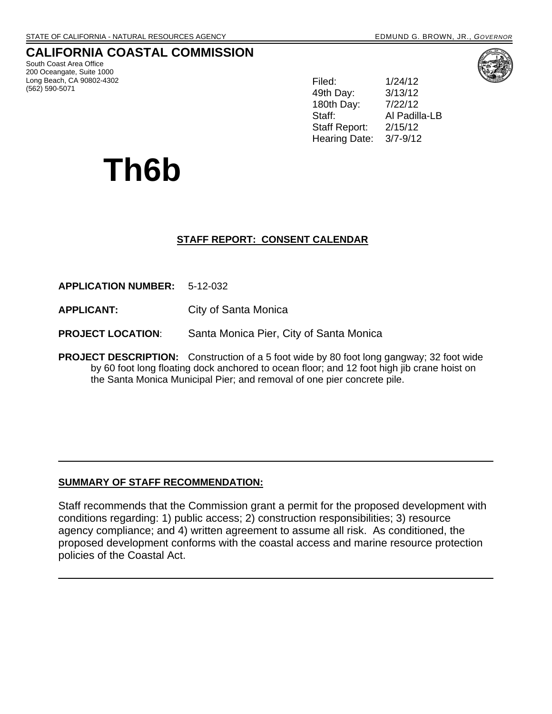## **CALIFORNIA COASTAL COMMISSION**

South Coast Area Office 200 Oceangate, Suite 1000 Long Beach, CA 90802-4302 (562) 590-5071

Filed: 1/24/12 49th Day: 3/13/12 180th Day: Staff: Al Padilla-LB Staff Report: 2/15/12 Hearing Date: 3/7-9/12

# **Th6b**

### **STAFF REPORT: CONSENT CALENDAR**

**APPLICATION NUMBER:** 5-12-032

**APPLICANT:** City of Santa Monica

**PROJECT LOCATION**: Santa Monica Pier, City of Santa Monica

**PROJECT DESCRIPTION:** Construction of a 5 foot wide by 80 foot long gangway; 32 foot wide by 60 foot long floating dock anchored to ocean floor; and 12 foot high jib crane hoist on the Santa Monica Municipal Pier; and removal of one pier concrete pile.

### **SUMMARY OF STAFF RECOMMENDATION:**

Staff recommends that the Commission grant a permit for the proposed development with conditions regarding: 1) public access; 2) construction responsibilities; 3) resource agency compliance; and 4) written agreement to assume all risk. As conditioned, the proposed development conforms with the coastal access and marine resource protection policies of the Coastal Act.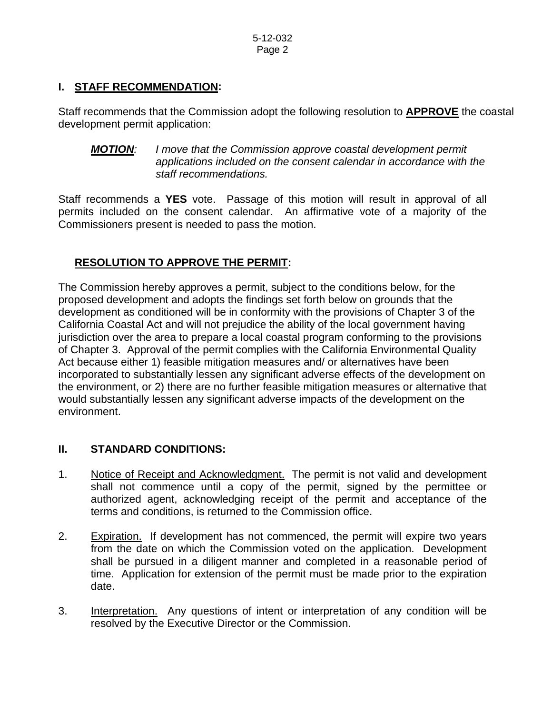### **I. STAFF RECOMMENDATION:**

Staff recommends that the Commission adopt the following resolution to **APPROVE** the coastal development permit application:

*MOTION: I move that the Commission approve coastal development permit applications included on the consent calendar in accordance with the staff recommendations.* 

Staff recommends a **YES** vote. Passage of this motion will result in approval of all permits included on the consent calendar. An affirmative vote of a majority of the Commissioners present is needed to pass the motion.

## **RESOLUTION TO APPROVE THE PERMIT:**

The Commission hereby approves a permit, subject to the conditions below, for the proposed development and adopts the findings set forth below on grounds that the development as conditioned will be in conformity with the provisions of Chapter 3 of the California Coastal Act and will not prejudice the ability of the local government having jurisdiction over the area to prepare a local coastal program conforming to the provisions of Chapter 3. Approval of the permit complies with the California Environmental Quality Act because either 1) feasible mitigation measures and/ or alternatives have been incorporated to substantially lessen any significant adverse effects of the development on the environment, or 2) there are no further feasible mitigation measures or alternative that would substantially lessen any significant adverse impacts of the development on the environment.

### **II. STANDARD CONDITIONS:**

- 1. Notice of Receipt and Acknowledgment. The permit is not valid and development shall not commence until a copy of the permit, signed by the permittee or authorized agent, acknowledging receipt of the permit and acceptance of the terms and conditions, is returned to the Commission office.
- 2. Expiration. If development has not commenced, the permit will expire two years from the date on which the Commission voted on the application. Development shall be pursued in a diligent manner and completed in a reasonable period of time. Application for extension of the permit must be made prior to the expiration date.
- 3. Interpretation. Any questions of intent or interpretation of any condition will be resolved by the Executive Director or the Commission.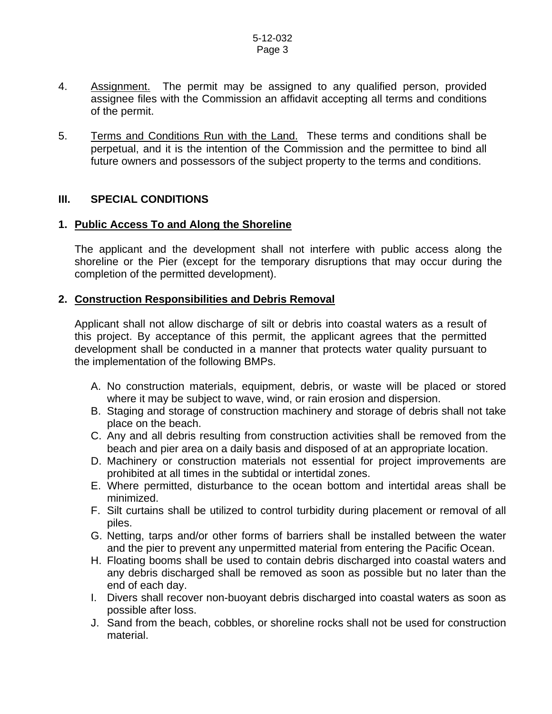- 4. Assignment. The permit may be assigned to any qualified person, provided assignee files with the Commission an affidavit accepting all terms and conditions of the permit.
- 5. Terms and Conditions Run with the Land. These terms and conditions shall be perpetual, and it is the intention of the Commission and the permittee to bind all future owners and possessors of the subject property to the terms and conditions.

### **III. SPECIAL CONDITIONS**

### **1. Public Access To and Along the Shoreline**

The applicant and the development shall not interfere with public access along the shoreline or the Pier (except for the temporary disruptions that may occur during the completion of the permitted development).

### **2. Construction Responsibilities and Debris Removal**

Applicant shall not allow discharge of silt or debris into coastal waters as a result of this project. By acceptance of this permit, the applicant agrees that the permitted development shall be conducted in a manner that protects water quality pursuant to the implementation of the following BMPs.

- A. No construction materials, equipment, debris, or waste will be placed or stored where it may be subject to wave, wind, or rain erosion and dispersion.
- B. Staging and storage of construction machinery and storage of debris shall not take place on the beach.
- C. Any and all debris resulting from construction activities shall be removed from the beach and pier area on a daily basis and disposed of at an appropriate location.
- D. Machinery or construction materials not essential for project improvements are prohibited at all times in the subtidal or intertidal zones.
- E. Where permitted, disturbance to the ocean bottom and intertidal areas shall be minimized.
- F. Silt curtains shall be utilized to control turbidity during placement or removal of all piles.
- G. Netting, tarps and/or other forms of barriers shall be installed between the water and the pier to prevent any unpermitted material from entering the Pacific Ocean.
- H. Floating booms shall be used to contain debris discharged into coastal waters and any debris discharged shall be removed as soon as possible but no later than the end of each day.
- I. Divers shall recover non-buoyant debris discharged into coastal waters as soon as possible after loss.
- J. Sand from the beach, cobbles, or shoreline rocks shall not be used for construction material.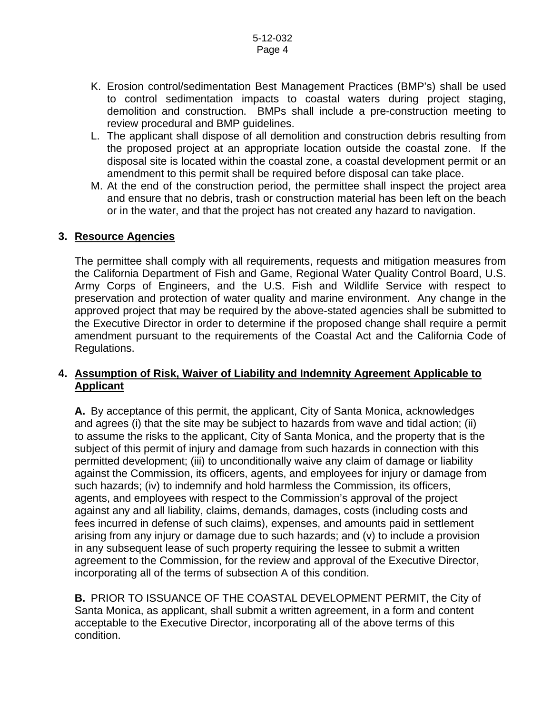- K. Erosion control/sedimentation Best Management Practices (BMP's) shall be used to control sedimentation impacts to coastal waters during project staging, demolition and construction. BMPs shall include a pre-construction meeting to review procedural and BMP guidelines.
- L. The applicant shall dispose of all demolition and construction debris resulting from the proposed project at an appropriate location outside the coastal zone. If the disposal site is located within the coastal zone, a coastal development permit or an amendment to this permit shall be required before disposal can take place.
- M. At the end of the construction period, the permittee shall inspect the project area and ensure that no debris, trash or construction material has been left on the beach or in the water, and that the project has not created any hazard to navigation.

### **3. Resource Agencies**

The permittee shall comply with all requirements, requests and mitigation measures from the California Department of Fish and Game, Regional Water Quality Control Board, U.S. Army Corps of Engineers, and the U.S. Fish and Wildlife Service with respect to preservation and protection of water quality and marine environment. Any change in the approved project that may be required by the above-stated agencies shall be submitted to the Executive Director in order to determine if the proposed change shall require a permit amendment pursuant to the requirements of the Coastal Act and the California Code of Regulations.

### **4. Assumption of Risk, Waiver of Liability and Indemnity Agreement Applicable to Applicant**

**A.** By acceptance of this permit, the applicant, City of Santa Monica, acknowledges and agrees (i) that the site may be subject to hazards from wave and tidal action; (ii) to assume the risks to the applicant, City of Santa Monica, and the property that is the subject of this permit of injury and damage from such hazards in connection with this permitted development; (iii) to unconditionally waive any claim of damage or liability against the Commission, its officers, agents, and employees for injury or damage from such hazards; (iv) to indemnify and hold harmless the Commission, its officers, agents, and employees with respect to the Commission's approval of the project against any and all liability, claims, demands, damages, costs (including costs and fees incurred in defense of such claims), expenses, and amounts paid in settlement arising from any injury or damage due to such hazards; and (v) to include a provision in any subsequent lease of such property requiring the lessee to submit a written agreement to the Commission, for the review and approval of the Executive Director, incorporating all of the terms of subsection A of this condition.

**B.** PRIOR TO ISSUANCE OF THE COASTAL DEVELOPMENT PERMIT, the City of Santa Monica, as applicant, shall submit a written agreement, in a form and content acceptable to the Executive Director, incorporating all of the above terms of this condition.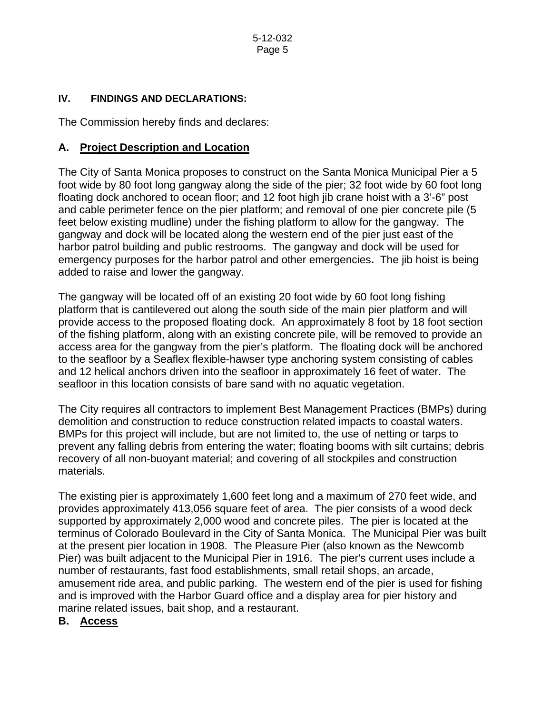### **IV. FINDINGS AND DECLARATIONS:**

The Commission hereby finds and declares:

### **A. Project Description and Location**

The City of Santa Monica proposes to construct on the Santa Monica Municipal Pier a 5 foot wide by 80 foot long gangway along the side of the pier; 32 foot wide by 60 foot long floating dock anchored to ocean floor; and 12 foot high jib crane hoist with a 3'-6" post and cable perimeter fence on the pier platform; and removal of one pier concrete pile (5 feet below existing mudline) under the fishing platform to allow for the gangway. The gangway and dock will be located along the western end of the pier just east of the harbor patrol building and public restrooms. The gangway and dock will be used for emergency purposes for the harbor patrol and other emergencies**.** The jib hoist is being added to raise and lower the gangway.

The gangway will be located off of an existing 20 foot wide by 60 foot long fishing platform that is cantilevered out along the south side of the main pier platform and will provide access to the proposed floating dock. An approximately 8 foot by 18 foot section of the fishing platform, along with an existing concrete pile, will be removed to provide an access area for the gangway from the pier's platform. The floating dock will be anchored to the seafloor by a Seaflex flexible-hawser type anchoring system consisting of cables and 12 helical anchors driven into the seafloor in approximately 16 feet of water. The seafloor in this location consists of bare sand with no aquatic vegetation.

The City requires all contractors to implement Best Management Practices (BMPs) during demolition and construction to reduce construction related impacts to coastal waters. BMPs for this project will include, but are not limited to, the use of netting or tarps to prevent any falling debris from entering the water; floating booms with silt curtains; debris recovery of all non-buoyant material; and covering of all stockpiles and construction materials.

The existing pier is approximately 1,600 feet long and a maximum of 270 feet wide, and provides approximately 413,056 square feet of area. The pier consists of a wood deck supported by approximately 2,000 wood and concrete piles. The pier is located at the terminus of Colorado Boulevard in the City of Santa Monica. The Municipal Pier was built at the present pier location in 1908. The Pleasure Pier (also known as the Newcomb Pier) was built adjacent to the Municipal Pier in 1916. The pier's current uses include a number of restaurants, fast food establishments, small retail shops, an arcade, amusement ride area, and public parking. The western end of the pier is used for fishing and is improved with the Harbor Guard office and a display area for pier history and marine related issues, bait shop, and a restaurant.

### **B. Access**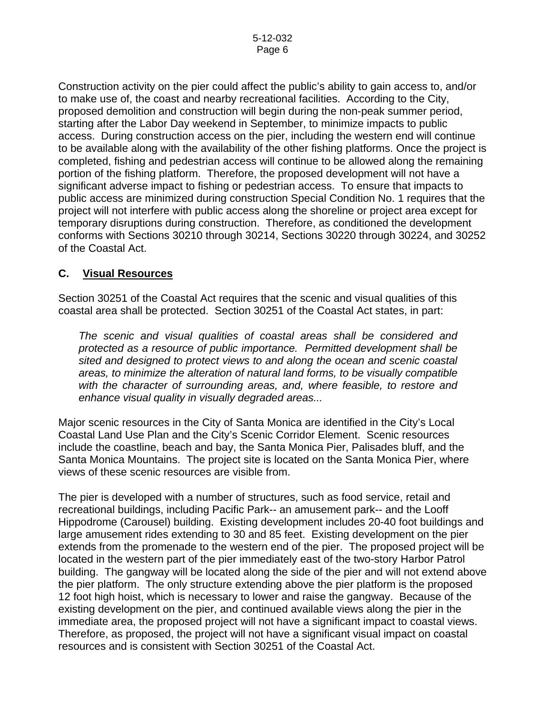Construction activity on the pier could affect the public's ability to gain access to, and/or to make use of, the coast and nearby recreational facilities. According to the City, proposed demolition and construction will begin during the non-peak summer period, starting after the Labor Day weekend in September, to minimize impacts to public access. During construction access on the pier, including the western end will continue to be available along with the availability of the other fishing platforms. Once the project is completed, fishing and pedestrian access will continue to be allowed along the remaining portion of the fishing platform. Therefore, the proposed development will not have a significant adverse impact to fishing or pedestrian access. To ensure that impacts to public access are minimized during construction Special Condition No. 1 requires that the project will not interfere with public access along the shoreline or project area except for temporary disruptions during construction. Therefore, as conditioned the development conforms with Sections 30210 through 30214, Sections 30220 through 30224, and 30252 of the Coastal Act.

### **C. Visual Resources**

Section 30251 of the Coastal Act requires that the scenic and visual qualities of this coastal area shall be protected. Section 30251 of the Coastal Act states, in part:

*The scenic and visual qualities of coastal areas shall be considered and protected as a resource of public importance. Permitted development shall be sited and designed to protect views to and along the ocean and scenic coastal areas, to minimize the alteration of natural land forms, to be visually compatible with the character of surrounding areas, and, where feasible, to restore and enhance visual quality in visually degraded areas...* 

Major scenic resources in the City of Santa Monica are identified in the City's Local Coastal Land Use Plan and the City's Scenic Corridor Element. Scenic resources include the coastline, beach and bay, the Santa Monica Pier, Palisades bluff, and the Santa Monica Mountains. The project site is located on the Santa Monica Pier, where views of these scenic resources are visible from.

The pier is developed with a number of structures, such as food service, retail and recreational buildings, including Pacific Park-- an amusement park-- and the Looff Hippodrome (Carousel) building. Existing development includes 20-40 foot buildings and large amusement rides extending to 30 and 85 feet. Existing development on the pier extends from the promenade to the western end of the pier. The proposed project will be located in the western part of the pier immediately east of the two-story Harbor Patrol building. The gangway will be located along the side of the pier and will not extend above the pier platform. The only structure extending above the pier platform is the proposed 12 foot high hoist, which is necessary to lower and raise the gangway. Because of the existing development on the pier, and continued available views along the pier in the immediate area, the proposed project will not have a significant impact to coastal views. Therefore, as proposed, the project will not have a significant visual impact on coastal resources and is consistent with Section 30251 of the Coastal Act.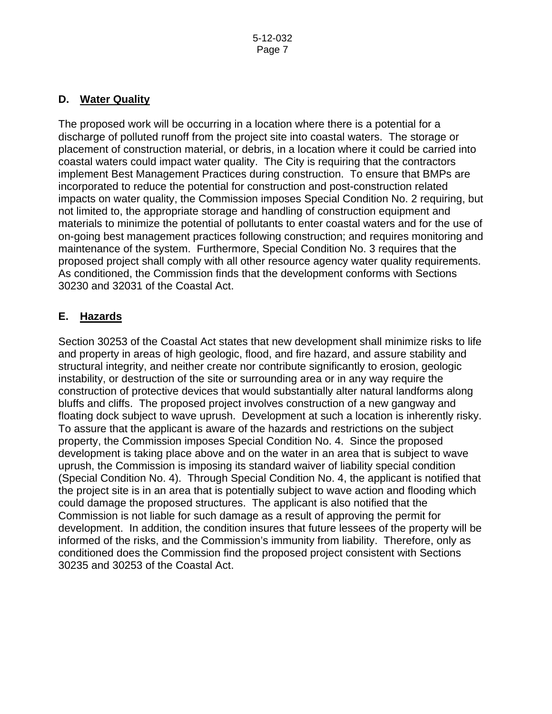### **D. Water Quality**

The proposed work will be occurring in a location where there is a potential for a discharge of polluted runoff from the project site into coastal waters. The storage or placement of construction material, or debris, in a location where it could be carried into coastal waters could impact water quality. The City is requiring that the contractors implement Best Management Practices during construction. To ensure that BMPs are incorporated to reduce the potential for construction and post-construction related impacts on water quality, the Commission imposes Special Condition No. 2 requiring, but not limited to, the appropriate storage and handling of construction equipment and materials to minimize the potential of pollutants to enter coastal waters and for the use of on-going best management practices following construction; and requires monitoring and maintenance of the system. Furthermore, Special Condition No. 3 requires that the proposed project shall comply with all other resource agency water quality requirements. As conditioned, the Commission finds that the development conforms with Sections 30230 and 32031 of the Coastal Act.

## **E. Hazards**

Section 30253 of the Coastal Act states that new development shall minimize risks to life and property in areas of high geologic, flood, and fire hazard, and assure stability and structural integrity, and neither create nor contribute significantly to erosion, geologic instability, or destruction of the site or surrounding area or in any way require the construction of protective devices that would substantially alter natural landforms along bluffs and cliffs. The proposed project involves construction of a new gangway and floating dock subject to wave uprush. Development at such a location is inherently risky. To assure that the applicant is aware of the hazards and restrictions on the subject property, the Commission imposes Special Condition No. 4. Since the proposed development is taking place above and on the water in an area that is subject to wave uprush, the Commission is imposing its standard waiver of liability special condition (Special Condition No. 4). Through Special Condition No. 4, the applicant is notified that the project site is in an area that is potentially subject to wave action and flooding which could damage the proposed structures. The applicant is also notified that the Commission is not liable for such damage as a result of approving the permit for development. In addition, the condition insures that future lessees of the property will be informed of the risks, and the Commission's immunity from liability. Therefore, only as conditioned does the Commission find the proposed project consistent with Sections 30235 and 30253 of the Coastal Act.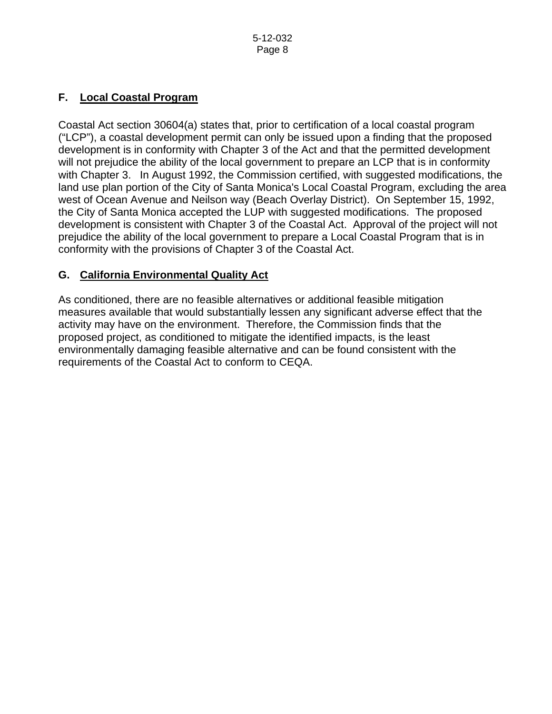### **F. Local Coastal Program**

Coastal Act section 30604(a) states that, prior to certification of a local coastal program ("LCP"), a coastal development permit can only be issued upon a finding that the proposed development is in conformity with Chapter 3 of the Act and that the permitted development will not prejudice the ability of the local government to prepare an LCP that is in conformity with Chapter 3. In August 1992, the Commission certified, with suggested modifications, the land use plan portion of the City of Santa Monica's Local Coastal Program, excluding the area west of Ocean Avenue and Neilson way (Beach Overlay District). On September 15, 1992, the City of Santa Monica accepted the LUP with suggested modifications. The proposed development is consistent with Chapter 3 of the Coastal Act. Approval of the project will not prejudice the ability of the local government to prepare a Local Coastal Program that is in conformity with the provisions of Chapter 3 of the Coastal Act.

## **G. California Environmental Quality Act**

As conditioned, there are no feasible alternatives or additional feasible mitigation measures available that would substantially lessen any significant adverse effect that the activity may have on the environment. Therefore, the Commission finds that the proposed project, as conditioned to mitigate the identified impacts, is the least environmentally damaging feasible alternative and can be found consistent with the requirements of the Coastal Act to conform to CEQA.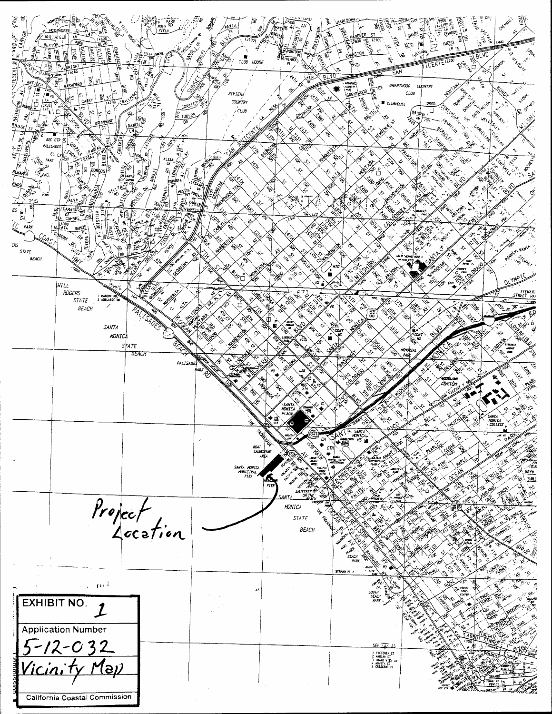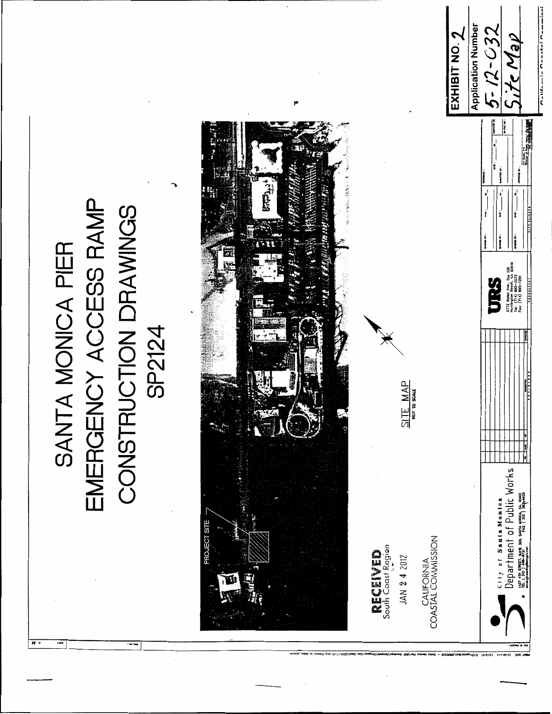

# EMERGENCY ACCESS RAMP SANTA MONICA PIER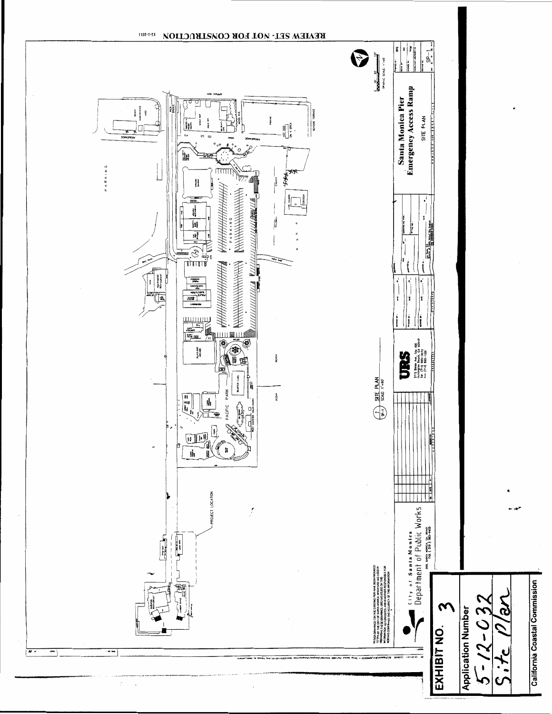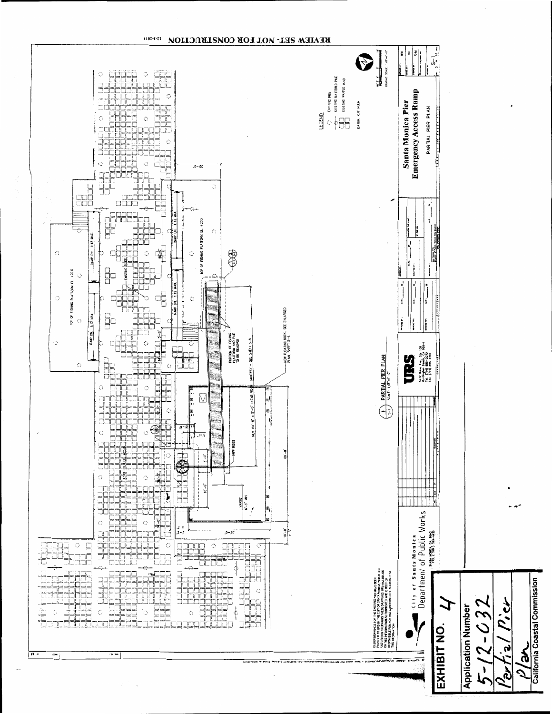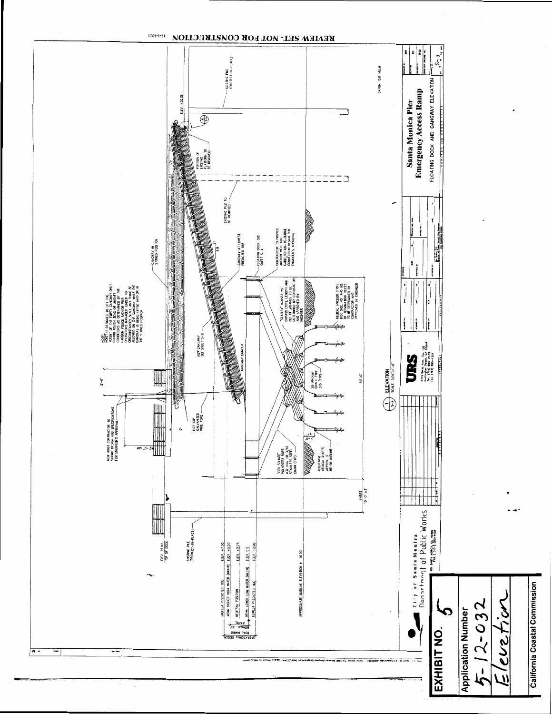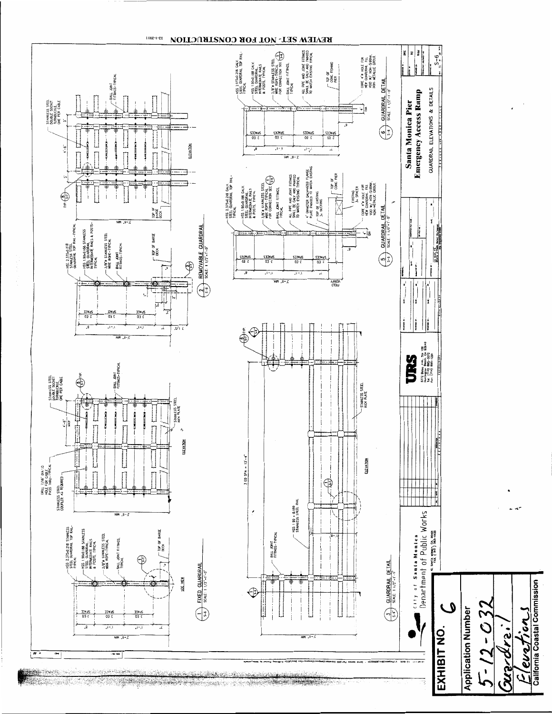